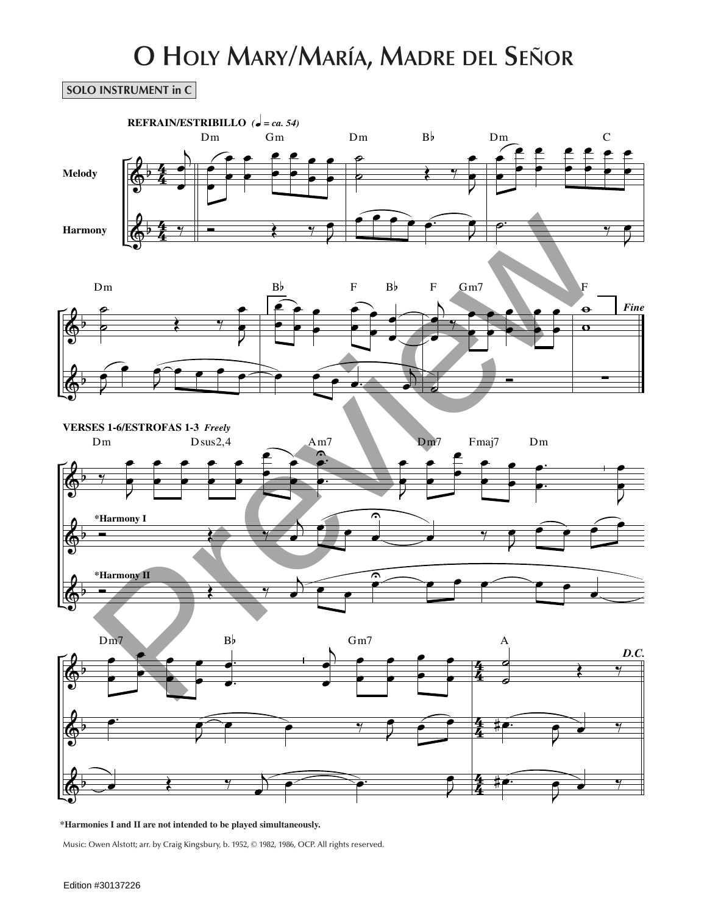## **O Holy Mary/María, Madre del Señor**

## **SOLO INSTRUMENT in C**



**\*Harmonies I and II are not intended to be played simultaneously.**

Music: Owen Alstott; arr. by Craig Kingsbury, b. 1952, © 1982, 1986, OCP. All rights reserved.